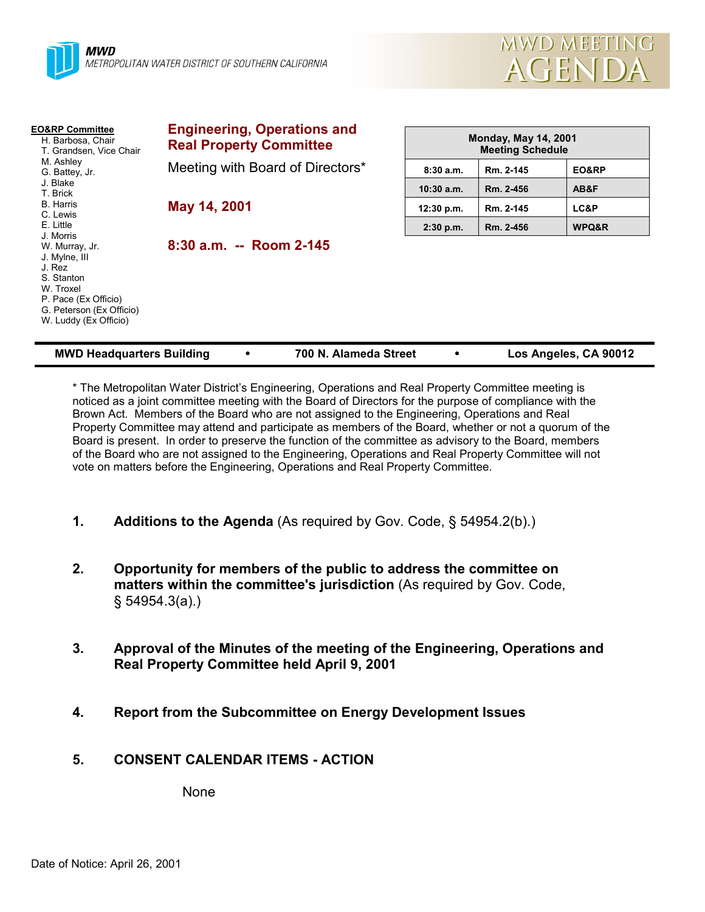



| <b>EO&amp;RP Committee</b><br>H. Barbosa, Chair<br>T. Grandsen, Vice Chair                                                                        | <b>Engineering, Operations and</b><br><b>Real Property Committee</b> | <b>Monday, May 14, 2001</b><br><b>Meeting Schedule</b> |           |       |
|---------------------------------------------------------------------------------------------------------------------------------------------------|----------------------------------------------------------------------|--------------------------------------------------------|-----------|-------|
| M. Ashley<br>G. Battey, Jr.                                                                                                                       | Meeting with Board of Directors*                                     | 8:30a.m.                                               | Rm. 2-145 | EO&RP |
| J. Blake<br>T. Brick                                                                                                                              |                                                                      | $10:30$ a.m.                                           | Rm. 2-456 | AB&F  |
| <b>B.</b> Harris<br>C. Lewis                                                                                                                      | May 14, 2001                                                         | 12:30 p.m.                                             | Rm. 2-145 | LC&P  |
| E. Little<br>J. Morris                                                                                                                            |                                                                      | $2:30$ p.m.                                            | Rm. 2-456 | WPQ&R |
| W. Murray, Jr.<br>J. Mylne, III<br>J. Rez<br>S. Stanton<br>W. Troxel<br>P. Pace (Ex Officio)<br>G. Peterson (Ex Officio)<br>W. Luddy (Ex Officio) | 8:30 a.m. -- Room 2-145                                              |                                                        |           |       |

| <b>MWD Headquarters Building</b> |  | 700 N. Alameda Street |  | Los Angeles, CA 90012 |
|----------------------------------|--|-----------------------|--|-----------------------|
|----------------------------------|--|-----------------------|--|-----------------------|

\* The Metropolitan Water Districtís Engineering, Operations and Real Property Committee meeting is noticed as a joint committee meeting with the Board of Directors for the purpose of compliance with the Brown Act. Members of the Board who are not assigned to the Engineering, Operations and Real Property Committee may attend and participate as members of the Board, whether or not a quorum of the Board is present. In order to preserve the function of the committee as advisory to the Board, members of the Board who are not assigned to the Engineering, Operations and Real Property Committee will not vote on matters before the Engineering, Operations and Real Property Committee.

- **1. Additions to the Agenda** (As required by Gov. Code, ß 54954.2(b).)
- **2. Opportunity for members of the public to address the committee on matters within the committee's jurisdiction** (As required by Gov. Code, ß 54954.3(a).)
- **3. Approval of the Minutes of the meeting of the Engineering, Operations and Real Property Committee held April 9, 2001**
- **4. Report from the Subcommittee on Energy Development Issues**
- **5. CONSENT CALENDAR ITEMS ACTION**

None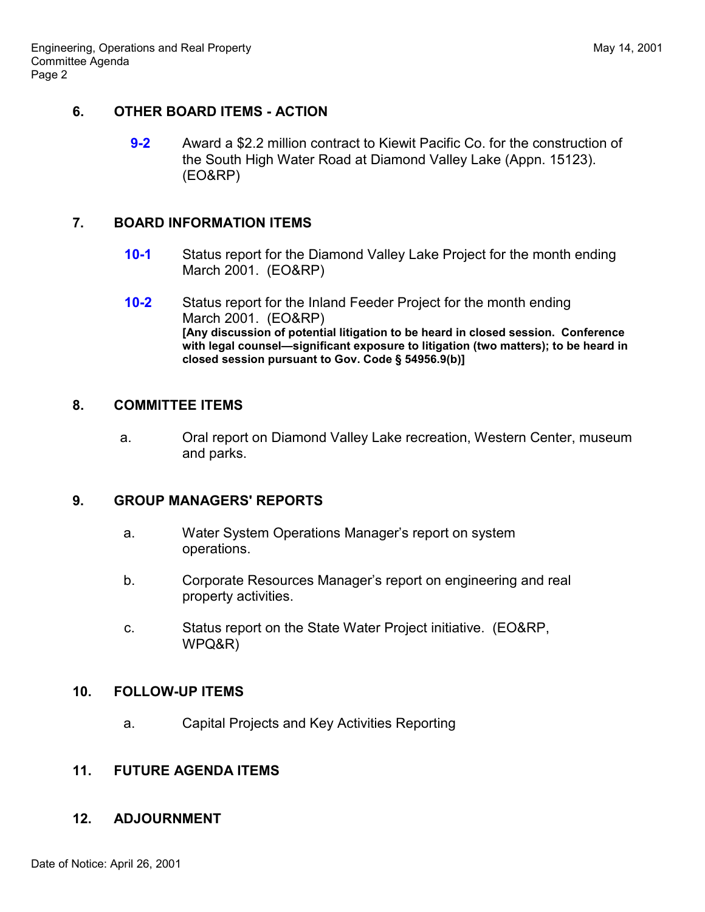# **6. OTHER BOARD ITEMS - ACTION**

**9-2** Award a \$2.2 million contract to Kiewit Pacific Co. for the construction of the South High Water Road at Diamond Valley Lake (Appn. 15123). (EO&RP)

## **7. BOARD INFORMATION ITEMS**

- **10-1** Status report for the Diamond Valley Lake Project for the month ending March 2001. (EO&RP)
- **10-2** Status report for the Inland Feeder Project for the month ending March 2001. (EO&RP) **[Any discussion of potential litigation to be heard in closed session. Conference** with legal counsel—significant exposure to litigation (two matters); to be heard in **closed session pursuant to Gov. Code ß 54956.9(b)]**

### **8. COMMITTEE ITEMS**

a. Oral report on Diamond Valley Lake recreation, Western Center, museum and parks.

### **9. GROUP MANAGERS' REPORTS**

- a. Water System Operations Managerís report on system operations.
- b. Corporate Resources Manager's report on engineering and real property activities.
- c. Status report on the State Water Project initiative. (EO&RP, WPQ&R)

### **10. FOLLOW-UP ITEMS**

a. Capital Projects and Key Activities Reporting

### **11. FUTURE AGENDA ITEMS**

### **12. ADJOURNMENT**